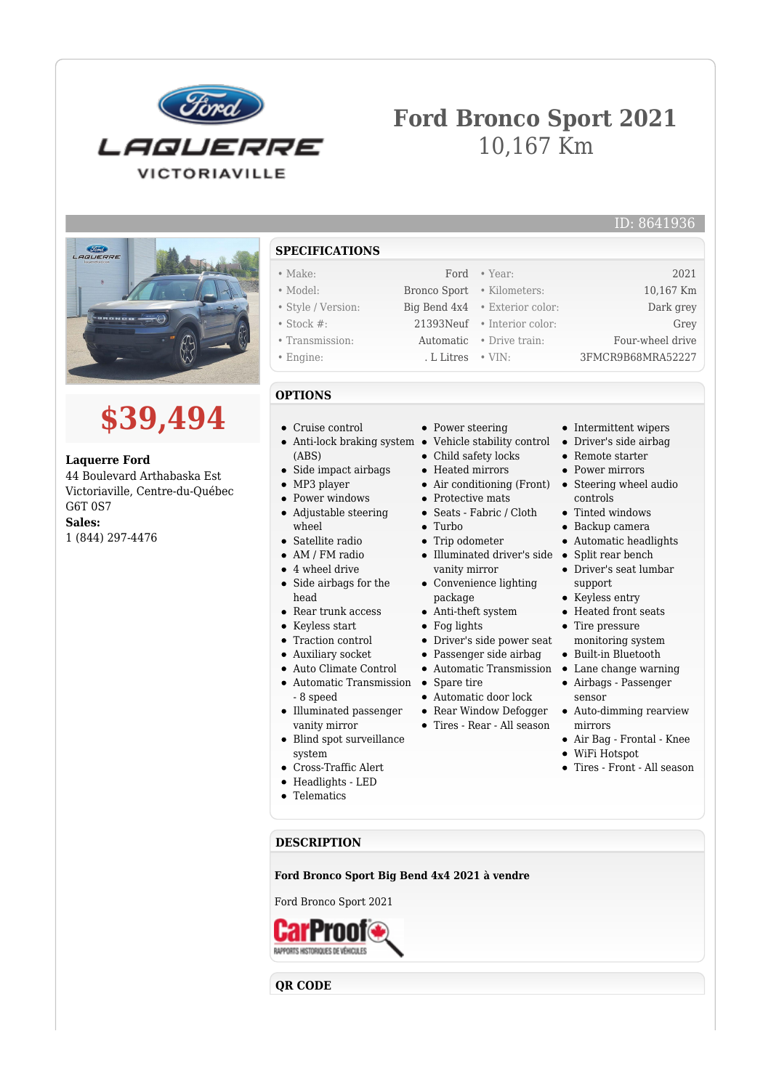

## **Ford Bronco Sport 2021** 10,167 Km



## **\$39,494**

**Laquerre Ford** 44 Boulevard Arthabaska Est Victoriaville, Centre-du-Québec G6T 0S7 **Sales:**

1 (844) 297-4476

- **SPECIFICATIONS**
- Make: Ford Year: 2021
- Model: Bronco Sport Kilometers: 10,167 Km
- Style / Version: Big Bend 4x4 Exterior color: Dark grey
- Stock #: 21393Neuf Interior color: Grey
- Transmission: Automatic Drive train: Four-wheel drive • Engine: . L Litres • VIN: 3FMCR9B68MRA52227
- **OPTIONS**
- Cruise control
- Anti-lock braking system Vehicle stability control Driver's side airbag (ABS)
- Side impact airbags
- MP3 player
- Power windows
- Adjustable steering wheel
- Satellite radio
- AM / FM radio
- 4 wheel drive
- Side airbags for the head
- Rear trunk access
- Keyless start
- Traction control
- Auxiliary socket
- 
- Auto Climate Control
- Automatic Transmission Spare tire - 8 speed
- Illuminated passenger vanity mirror
- Blind spot surveillance system
- Cross-Traffic Alert
- Headlights LED
- Telematics
- Power steering
- 
- Child safety locks
- Heated mirrors
- Air conditioning (Front) Steering wheel audio
- Protective mats
- Seats Fabric / Cloth
- $\bullet$  Turbo
- Trip odometer
- Illuminated driver's side Split rear bench vanity mirror Convenience lighting
	- package
- Anti-theft system
- Fog lights
- Driver's side power seat
- Passenger side airbag
- Automatic Transmission
- 
- Automatic door lock
- Rear Window Defogger
- Tires Rear All season
	- mirrors Air Bag - Frontal - Knee
		- WiFi Hotspot

sensor

• Intermittent wipers

Driver's seat lumbar

• Remote starter • Power mirrors

controls • Tinted windows Backup camera Automatic headlights

support • Keyless entry Heated front seats • Tire pressure monitoring system Built-in Bluetooth Lane change warning Airbags - Passenger

Tires - Front - All season

Auto-dimming rearview

ID: 8641936

**DESCRIPTION**

**Ford Bronco Sport Big Bend 4x4 2021 à vendre**

Ford Bronco Sport 2021



**QR CODE**